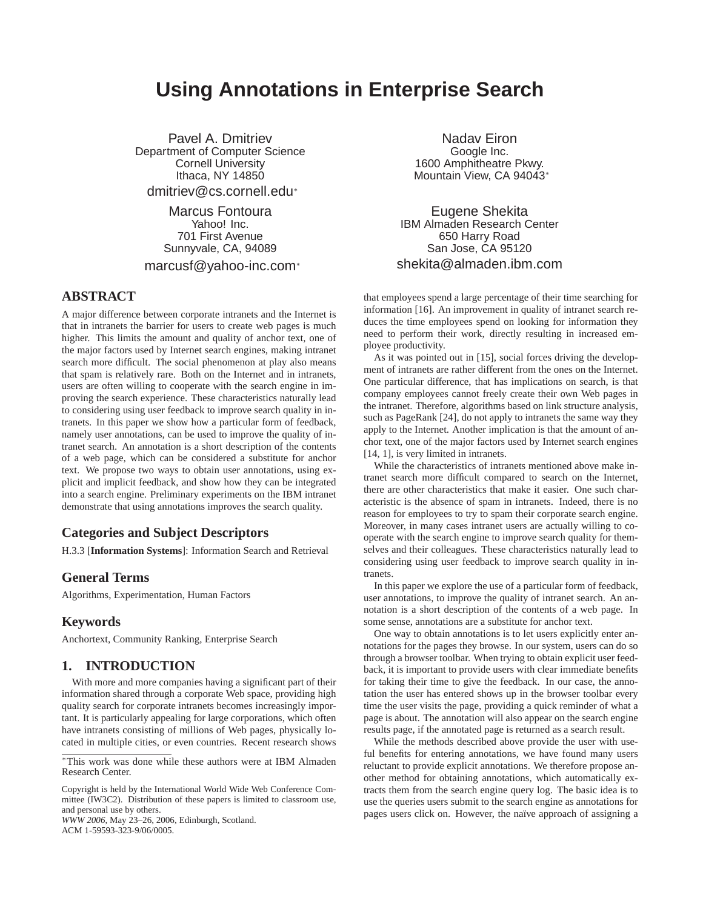# **Using Annotations in Enterprise Search**

Pavel A. Dmitriev Department of Computer Science Cornell University Ithaca, NY 14850 dmitriev@cs.cornell.edu<sup>∗</sup>

> Marcus Fontoura Yahoo! Inc. 701 First Avenue Sunnyvale, CA, 94089

marcusf@yahoo-inc.com<sup>∗</sup>

# **ABSTRACT**

A major difference between corporate intranets and the Internet is that in intranets the barrier for users to create web pages is much higher. This limits the amount and quality of anchor text, one of the major factors used by Internet search engines, making intranet search more difficult. The social phenomenon at play also means that spam is relatively rare. Both on the Internet and in intranets, users are often willing to cooperate with the search engine in improving the search experience. These characteristics naturally lead to considering using user feedback to improve search quality in intranets. In this paper we show how a particular form of feedback, namely user annotations, can be used to improve the quality of intranet search. An annotation is a short description of the contents of a web page, which can be considered a substitute for anchor text. We propose two ways to obtain user annotations, using explicit and implicit feedback, and show how they can be integrated into a search engine. Preliminary experiments on the IBM intranet demonstrate that using annotations improves the search quality.

### **Categories and Subject Descriptors**

H.3.3 [**Information Systems**]: Information Search and Retrieval

### **General Terms**

Algorithms, Experimentation, Human Factors

# **Keywords**

Anchortext, Community Ranking, Enterprise Search

## **1. INTRODUCTION**

With more and more companies having a significant part of their information shared through a corporate Web space, providing high quality search for corporate intranets becomes increasingly important. It is particularly appealing for large corporations, which often have intranets consisting of millions of Web pages, physically located in multiple cities, or even countries. Recent research shows

Copyright is held by the International World Wide Web Conference Committee (IW3C2). Distribution of these papers is limited to classroom use, and personal use by others.

*WWW 2006*, May 23–26, 2006, Edinburgh, Scotland. ACM 1-59593-323-9/06/0005.

Nadav Eiron Google Inc. 1600 Amphitheatre Pkwy. Mountain View, CA 94043<sup>∗</sup>

Eugene Shekita IBM Almaden Research Center 650 Harry Road San Jose, CA 95120 shekita@almaden.ibm.com

that employees spend a large percentage of their time searching for information [16]. An improvement in quality of intranet search reduces the time employees spend on looking for information they need to perform their work, directly resulting in increased employee productivity.

As it was pointed out in [15], social forces driving the development of intranets are rather different from the ones on the Internet. One particular difference, that has implications on search, is that company employees cannot freely create their own Web pages in the intranet. Therefore, algorithms based on link structure analysis, such as PageRank [24], do not apply to intranets the same way they apply to the Internet. Another implication is that the amount of anchor text, one of the major factors used by Internet search engines [14, 1], is very limited in intranets.

While the characteristics of intranets mentioned above make intranet search more difficult compared to search on the Internet, there are other characteristics that make it easier. One such characteristic is the absence of spam in intranets. Indeed, there is no reason for employees to try to spam their corporate search engine. Moreover, in many cases intranet users are actually willing to cooperate with the search engine to improve search quality for themselves and their colleagues. These characteristics naturally lead to considering using user feedback to improve search quality in intranets.

In this paper we explore the use of a particular form of feedback, user annotations, to improve the quality of intranet search. An annotation is a short description of the contents of a web page. In some sense, annotations are a substitute for anchor text.

One way to obtain annotations is to let users explicitly enter annotations for the pages they browse. In our system, users can do so through a browser toolbar. When trying to obtain explicit user feedback, it is important to provide users with clear immediate benefits for taking their time to give the feedback. In our case, the annotation the user has entered shows up in the browser toolbar every time the user visits the page, providing a quick reminder of what a page is about. The annotation will also appear on the search engine results page, if the annotated page is returned as a search result.

While the methods described above provide the user with useful benefits for entering annotations, we have found many users reluctant to provide explicit annotations. We therefore propose another method for obtaining annotations, which automatically extracts them from the search engine query log. The basic idea is to use the queries users submit to the search engine as annotations for pages users click on. However, the naïve approach of assigning a

<sup>∗</sup>This work was done while these authors were at IBM Almaden Research Center.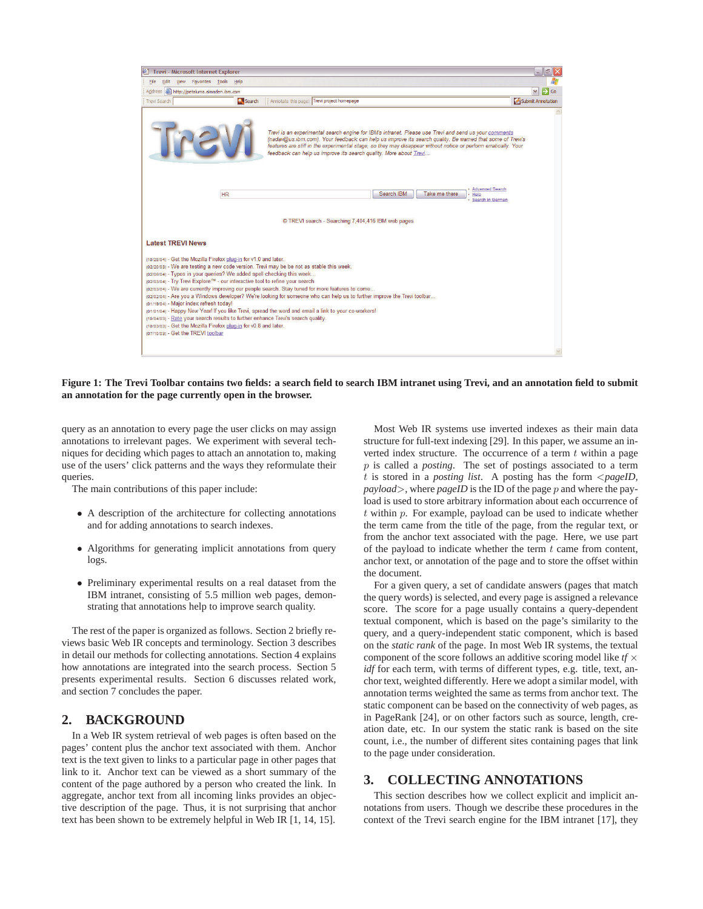

**Figure 1: The Trevi Toolbar contains two fields: a search field to search IBM intranet using Trevi, and an annotation field to submit an annotation for the page currently open in the browser.**

query as an annotation to every page the user clicks on may assign annotations to irrelevant pages. We experiment with several techniques for deciding which pages to attach an annotation to, making use of the users' click patterns and the ways they reformulate their queries.

The main contributions of this paper include:

- A description of the architecture for collecting annotations and for adding annotations to search indexes.
- Algorithms for generating implicit annotations from query logs.
- Preliminary experimental results on a real dataset from the IBM intranet, consisting of 5.5 million web pages, demonstrating that annotations help to improve search quality.

The rest of the paper is organized as follows. Section 2 briefly reviews basic Web IR concepts and terminology. Section 3 describes in detail our methods for collecting annotations. Section 4 explains how annotations are integrated into the search process. Section 5 presents experimental results. Section 6 discusses related work, and section 7 concludes the paper.

## **2. BACKGROUND**

In a Web IR system retrieval of web pages is often based on the pages' content plus the anchor text associated with them. Anchor text is the text given to links to a particular page in other pages that link to it. Anchor text can be viewed as a short summary of the content of the page authored by a person who created the link. In aggregate, anchor text from all incoming links provides an objective description of the page. Thus, it is not surprising that anchor text has been shown to be extremely helpful in Web IR [1, 14, 15].

Most Web IR systems use inverted indexes as their main data structure for full-text indexing [29]. In this paper, we assume an inverted index structure. The occurrence of a term  $t$  within a page p is called a *posting*. The set of postings associated to a term t is stored in a *posting list*. A posting has the form <*pageID, payload*>, where *pageID* is the ID of the page p and where the payload is used to store arbitrary information about each occurrence of  $t$  within  $p$ . For example, payload can be used to indicate whether the term came from the title of the page, from the regular text, or from the anchor text associated with the page. Here, we use part of the payload to indicate whether the term  $t$  came from content, anchor text, or annotation of the page and to store the offset within the document.

For a given query, a set of candidate answers (pages that match the query words) is selected, and every page is assigned a relevance score. The score for a page usually contains a query-dependent textual component, which is based on the page's similarity to the query, and a query-independent static component, which is based on the *static rank* of the page. In most Web IR systems, the textual component of the score follows an additive scoring model like *tf* × *idf* for each term, with terms of different types, e.g. title, text, anchor text, weighted differently. Here we adopt a similar model, with annotation terms weighted the same as terms from anchor text. The static component can be based on the connectivity of web pages, as in PageRank [24], or on other factors such as source, length, creation date, etc. In our system the static rank is based on the site count, i.e., the number of different sites containing pages that link to the page under consideration.

## **3. COLLECTING ANNOTATIONS**

This section describes how we collect explicit and implicit annotations from users. Though we describe these procedures in the context of the Trevi search engine for the IBM intranet [17], they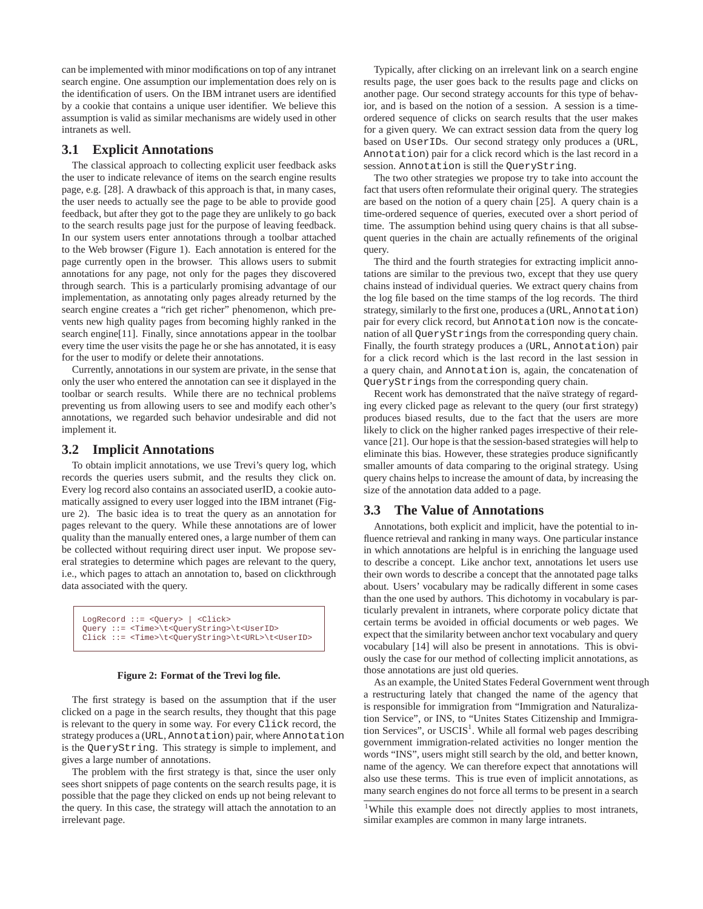can be implemented with minor modifications on top of any intranet search engine. One assumption our implementation does rely on is the identification of users. On the IBM intranet users are identified by a cookie that contains a unique user identifier. We believe this assumption is valid as similar mechanisms are widely used in other intranets as well.

#### **3.1 Explicit Annotations**

The classical approach to collecting explicit user feedback asks the user to indicate relevance of items on the search engine results page, e.g. [28]. A drawback of this approach is that, in many cases, the user needs to actually see the page to be able to provide good feedback, but after they got to the page they are unlikely to go back to the search results page just for the purpose of leaving feedback. In our system users enter annotations through a toolbar attached to the Web browser (Figure 1). Each annotation is entered for the page currently open in the browser. This allows users to submit annotations for any page, not only for the pages they discovered through search. This is a particularly promising advantage of our implementation, as annotating only pages already returned by the search engine creates a "rich get richer" phenomenon, which prevents new high quality pages from becoming highly ranked in the search engine[11]. Finally, since annotations appear in the toolbar every time the user visits the page he or she has annotated, it is easy for the user to modify or delete their annotations.

Currently, annotations in our system are private, in the sense that only the user who entered the annotation can see it displayed in the toolbar or search results. While there are no technical problems preventing us from allowing users to see and modify each other's annotations, we regarded such behavior undesirable and did not implement it.

#### **3.2 Implicit Annotations**

To obtain implicit annotations, we use Trevi's query log, which records the queries users submit, and the results they click on. Every log record also contains an associated userID, a cookie automatically assigned to every user logged into the IBM intranet (Figure 2). The basic idea is to treat the query as an annotation for pages relevant to the query. While these annotations are of lower quality than the manually entered ones, a large number of them can be collected without requiring direct user input. We propose several strategies to determine which pages are relevant to the query, i.e., which pages to attach an annotation to, based on clickthrough data associated with the query.

```
LogRecord ::= <Query> | <Click> 
Query ::= <Time>\t<QueryString>\t<UserID> 
Click ::= <Time>\t<QueryString>\t<URL>\t<UserID>
```
#### **Figure 2: Format of the Trevi log file.**

The first strategy is based on the assumption that if the user clicked on a page in the search results, they thought that this page is relevant to the query in some way. For every Click record, the strategy produces a (URL, Annotation) pair, where Annotation is the QueryString. This strategy is simple to implement, and gives a large number of annotations.

The problem with the first strategy is that, since the user only sees short snippets of page contents on the search results page, it is possible that the page they clicked on ends up not being relevant to the query. In this case, the strategy will attach the annotation to an irrelevant page.

Typically, after clicking on an irrelevant link on a search engine results page, the user goes back to the results page and clicks on another page. Our second strategy accounts for this type of behavior, and is based on the notion of a session. A session is a timeordered sequence of clicks on search results that the user makes for a given query. We can extract session data from the query log based on UserIDs. Our second strategy only produces a (URL, Annotation) pair for a click record which is the last record in a session. Annotation is still the QueryString.

The two other strategies we propose try to take into account the fact that users often reformulate their original query. The strategies are based on the notion of a query chain [25]. A query chain is a time-ordered sequence of queries, executed over a short period of time. The assumption behind using query chains is that all subsequent queries in the chain are actually refinements of the original query.

The third and the fourth strategies for extracting implicit annotations are similar to the previous two, except that they use query chains instead of individual queries. We extract query chains from the log file based on the time stamps of the log records. The third strategy, similarly to the first one, produces a (URL, Annotation) pair for every click record, but Annotation now is the concatenation of all QueryStrings from the corresponding query chain. Finally, the fourth strategy produces a (URL, Annotation) pair for a click record which is the last record in the last session in a query chain, and Annotation is, again, the concatenation of QueryStrings from the corresponding query chain.

Recent work has demonstrated that the naïve strategy of regarding every clicked page as relevant to the query (our first strategy) produces biased results, due to the fact that the users are more likely to click on the higher ranked pages irrespective of their relevance [21]. Our hope is that the session-based strategies will help to eliminate this bias. However, these strategies produce significantly smaller amounts of data comparing to the original strategy. Using query chains helps to increase the amount of data, by increasing the size of the annotation data added to a page.

## **3.3 The Value of Annotations**

Annotations, both explicit and implicit, have the potential to influence retrieval and ranking in many ways. One particular instance in which annotations are helpful is in enriching the language used to describe a concept. Like anchor text, annotations let users use their own words to describe a concept that the annotated page talks about. Users' vocabulary may be radically different in some cases than the one used by authors. This dichotomy in vocabulary is particularly prevalent in intranets, where corporate policy dictate that certain terms be avoided in official documents or web pages. We expect that the similarity between anchor text vocabulary and query vocabulary [14] will also be present in annotations. This is obviously the case for our method of collecting implicit annotations, as those annotations are just old queries.

As an example, the United States Federal Government went through a restructuring lately that changed the name of the agency that is responsible for immigration from "Immigration and Naturalization Service", or INS, to "Unites States Citizenship and Immigration Services", or  $USCIS<sup>1</sup>$ . While all formal web pages describing government immigration-related activities no longer mention the words "INS", users might still search by the old, and better known, name of the agency. We can therefore expect that annotations will also use these terms. This is true even of implicit annotations, as many search engines do not force all terms to be present in a search

<sup>&</sup>lt;sup>1</sup>While this example does not directly applies to most intranets, similar examples are common in many large intranets.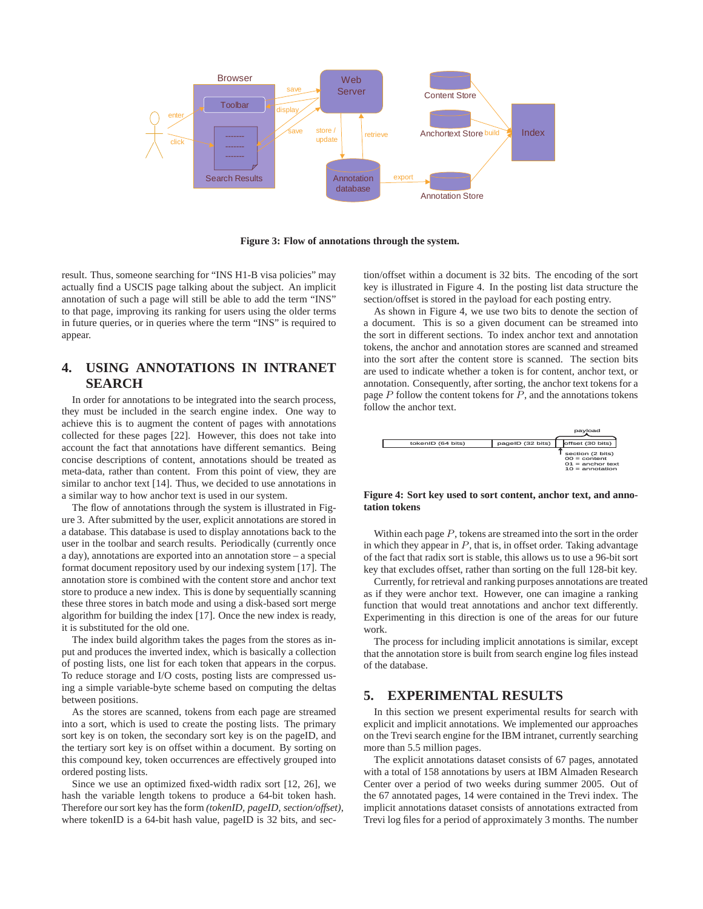

**Figure 3: Flow of annotations through the system.**

result. Thus, someone searching for "INS H1-B visa policies" may actually find a USCIS page talking about the subject. An implicit annotation of such a page will still be able to add the term "INS" to that page, improving its ranking for users using the older terms in future queries, or in queries where the term "INS" is required to appear.

# **4. USING ANNOTATIONS IN INTRANET SEARCH**

In order for annotations to be integrated into the search process, they must be included in the search engine index. One way to achieve this is to augment the content of pages with annotations collected for these pages [22]. However, this does not take into account the fact that annotations have different semantics. Being concise descriptions of content, annotations should be treated as meta-data, rather than content. From this point of view, they are similar to anchor text [14]. Thus, we decided to use annotations in a similar way to how anchor text is used in our system.

The flow of annotations through the system is illustrated in Figure 3. After submitted by the user, explicit annotations are stored in a database. This database is used to display annotations back to the user in the toolbar and search results. Periodically (currently once a day), annotations are exported into an annotation store – a special format document repository used by our indexing system [17]. The annotation store is combined with the content store and anchor text store to produce a new index. This is done by sequentially scanning these three stores in batch mode and using a disk-based sort merge algorithm for building the index [17]. Once the new index is ready, it is substituted for the old one.

The index build algorithm takes the pages from the stores as input and produces the inverted index, which is basically a collection of posting lists, one list for each token that appears in the corpus. To reduce storage and I/O costs, posting lists are compressed using a simple variable-byte scheme based on computing the deltas between positions.

As the stores are scanned, tokens from each page are streamed into a sort, which is used to create the posting lists. The primary sort key is on token, the secondary sort key is on the pageID, and the tertiary sort key is on offset within a document. By sorting on this compound key, token occurrences are effectively grouped into ordered posting lists.

Since we use an optimized fixed-width radix sort [12, 26], we hash the variable length tokens to produce a 64-bit token hash. Therefore our sort key has the form *(tokenID, pageID, section/offset)*, where tokenID is a 64-bit hash value, pageID is 32 bits, and section/offset within a document is 32 bits. The encoding of the sort key is illustrated in Figure 4. In the posting list data structure the section/offset is stored in the payload for each posting entry.

As shown in Figure 4, we use two bits to denote the section of a document. This is so a given document can be streamed into the sort in different sections. To index anchor text and annotation tokens, the anchor and annotation stores are scanned and streamed into the sort after the content store is scanned. The section bits are used to indicate whether a token is for content, anchor text, or annotation. Consequently, after sorting, the anchor text tokens for a page  $P$  follow the content tokens for  $P$ , and the annotations tokens follow the anchor text.



**Figure 4: Sort key used to sort content, anchor text, and annotation tokens**

Within each page P, tokens are streamed into the sort in the order in which they appear in  $P$ , that is, in offset order. Taking advantage of the fact that radix sort is stable, this allows us to use a 96-bit sort key that excludes offset, rather than sorting on the full 128-bit key.

Currently, for retrieval and ranking purposes annotations are treated as if they were anchor text. However, one can imagine a ranking function that would treat annotations and anchor text differently. Experimenting in this direction is one of the areas for our future work.

The process for including implicit annotations is similar, except that the annotation store is built from search engine log files instead of the database.

## **5. EXPERIMENTAL RESULTS**

In this section we present experimental results for search with explicit and implicit annotations. We implemented our approaches on the Trevi search engine for the IBM intranet, currently searching more than 5.5 million pages.

The explicit annotations dataset consists of 67 pages, annotated with a total of 158 annotations by users at IBM Almaden Research Center over a period of two weeks during summer 2005. Out of the 67 annotated pages, 14 were contained in the Trevi index. The implicit annotations dataset consists of annotations extracted from Trevi log files for a period of approximately 3 months. The number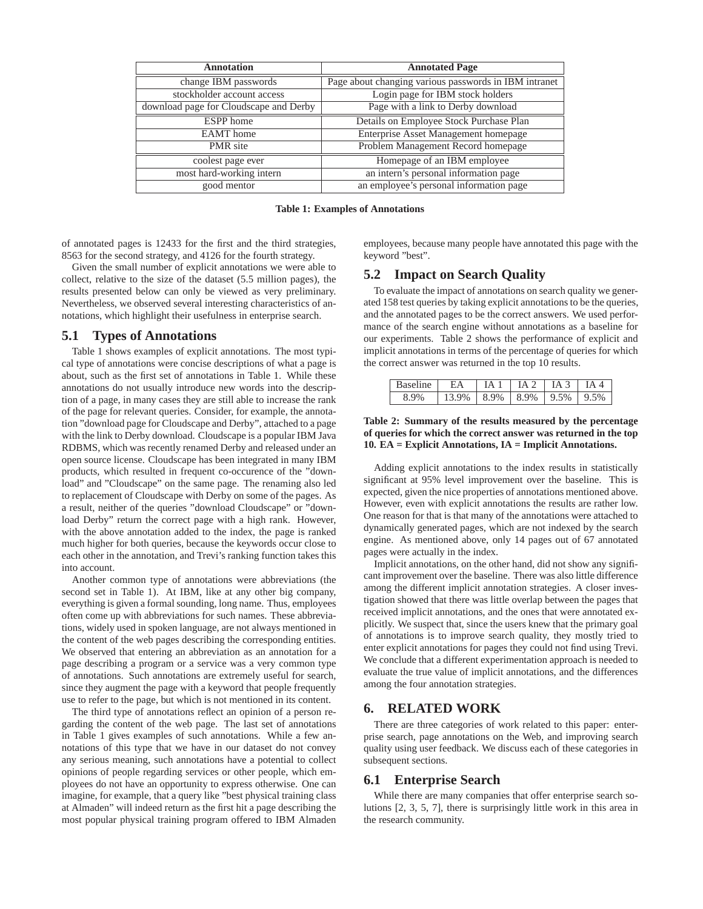| <b>Annotation</b>                      | <b>Annotated Page</b>                                 |  |  |
|----------------------------------------|-------------------------------------------------------|--|--|
| change IBM passwords                   | Page about changing various passwords in IBM intranet |  |  |
| stockholder account access             | Login page for IBM stock holders                      |  |  |
| download page for Cloudscape and Derby | Page with a link to Derby download                    |  |  |
| <b>ESPP</b> home                       | Details on Employee Stock Purchase Plan               |  |  |
| <b>EAMT</b> home                       | <b>Enterprise Asset Management homepage</b>           |  |  |
| PMR site                               | Problem Management Record homepage                    |  |  |
| coolest page ever                      | Homepage of an IBM employee                           |  |  |
| most hard-working intern               | an intern's personal information page                 |  |  |
| good mentor                            | an employee's personal information page               |  |  |

**Table 1: Examples of Annotations**

of annotated pages is 12433 for the first and the third strategies, 8563 for the second strategy, and 4126 for the fourth strategy.

Given the small number of explicit annotations we were able to collect, relative to the size of the dataset (5.5 million pages), the results presented below can only be viewed as very preliminary. Nevertheless, we observed several interesting characteristics of annotations, which highlight their usefulness in enterprise search.

## **5.1 Types of Annotations**

Table 1 shows examples of explicit annotations. The most typical type of annotations were concise descriptions of what a page is about, such as the first set of annotations in Table 1. While these annotations do not usually introduce new words into the description of a page, in many cases they are still able to increase the rank of the page for relevant queries. Consider, for example, the annotation "download page for Cloudscape and Derby", attached to a page with the link to Derby download. Cloudscape is a popular IBM Java RDBMS, which was recently renamed Derby and released under an open source license. Cloudscape has been integrated in many IBM products, which resulted in frequent co-occurence of the "download" and "Cloudscape" on the same page. The renaming also led to replacement of Cloudscape with Derby on some of the pages. As a result, neither of the queries "download Cloudscape" or "download Derby" return the correct page with a high rank. However, with the above annotation added to the index, the page is ranked much higher for both queries, because the keywords occur close to each other in the annotation, and Trevi's ranking function takes this into account.

Another common type of annotations were abbreviations (the second set in Table 1). At IBM, like at any other big company, everything is given a formal sounding, long name. Thus, employees often come up with abbreviations for such names. These abbreviations, widely used in spoken language, are not always mentioned in the content of the web pages describing the corresponding entities. We observed that entering an abbreviation as an annotation for a page describing a program or a service was a very common type of annotations. Such annotations are extremely useful for search, since they augment the page with a keyword that people frequently use to refer to the page, but which is not mentioned in its content.

The third type of annotations reflect an opinion of a person regarding the content of the web page. The last set of annotations in Table 1 gives examples of such annotations. While a few annotations of this type that we have in our dataset do not convey any serious meaning, such annotations have a potential to collect opinions of people regarding services or other people, which employees do not have an opportunity to express otherwise. One can imagine, for example, that a query like "best physical training class at Almaden" will indeed return as the first hit a page describing the most popular physical training program offered to IBM Almaden employees, because many people have annotated this page with the keyword "best".

# **5.2 Impact on Search Quality**

To evaluate the impact of annotations on search quality we generated 158 test queries by taking explicit annotations to be the queries, and the annotated pages to be the correct answers. We used performance of the search engine without annotations as a baseline for our experiments. Table 2 shows the performance of explicit and implicit annotations in terms of the percentage of queries for which the correct answer was returned in the top 10 results.

| <b>Baseline</b> | $F_A$                         | $\vert$ TA 1 $\vert$ TA 2 $\vert$ TA 3 $\vert$ TA 4 |  |          |
|-----------------|-------------------------------|-----------------------------------------------------|--|----------|
|                 | $13.9\%$   8.9%   8.9%   9.5% |                                                     |  | $ 9.5\%$ |

#### **Table 2: Summary of the results measured by the percentage of queries for which the correct answer was returned in the top 10. EA = Explicit Annotations, IA = Implicit Annotations.**

Adding explicit annotations to the index results in statistically significant at 95% level improvement over the baseline. This is expected, given the nice properties of annotations mentioned above. However, even with explicit annotations the results are rather low. One reason for that is that many of the annotations were attached to dynamically generated pages, which are not indexed by the search engine. As mentioned above, only 14 pages out of 67 annotated pages were actually in the index.

Implicit annotations, on the other hand, did not show any significant improvement over the baseline. There was also little difference among the different implicit annotation strategies. A closer investigation showed that there was little overlap between the pages that received implicit annotations, and the ones that were annotated explicitly. We suspect that, since the users knew that the primary goal of annotations is to improve search quality, they mostly tried to enter explicit annotations for pages they could not find using Trevi. We conclude that a different experimentation approach is needed to evaluate the true value of implicit annotations, and the differences among the four annotation strategies.

# **6. RELATED WORK**

There are three categories of work related to this paper: enterprise search, page annotations on the Web, and improving search quality using user feedback. We discuss each of these categories in subsequent sections.

## **6.1 Enterprise Search**

While there are many companies that offer enterprise search solutions [2, 3, 5, 7], there is surprisingly little work in this area in the research community.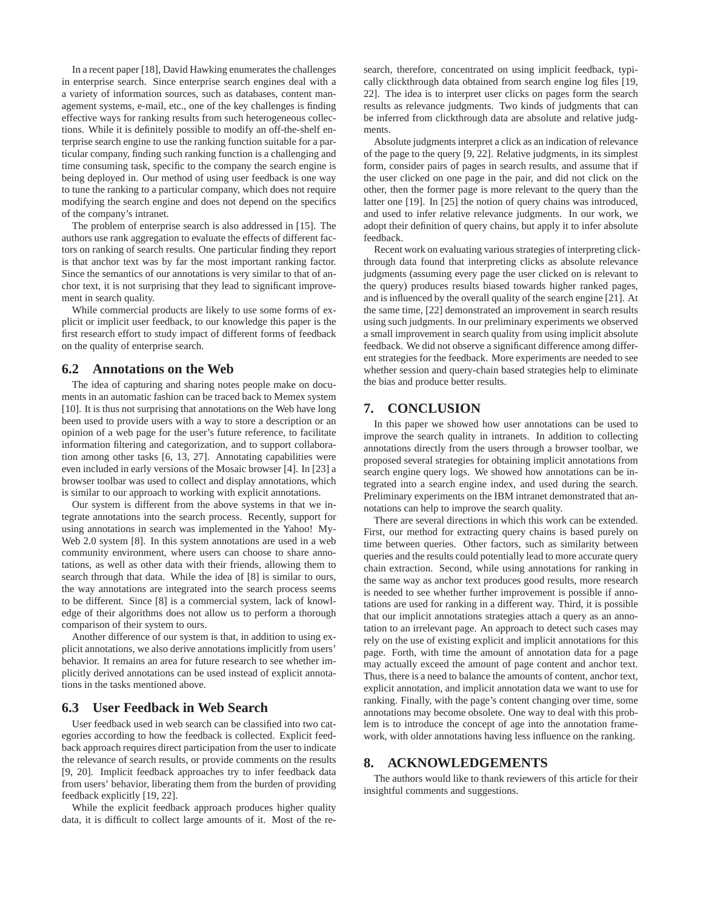In a recent paper [18], David Hawking enumerates the challenges in enterprise search. Since enterprise search engines deal with a a variety of information sources, such as databases, content management systems, e-mail, etc., one of the key challenges is finding effective ways for ranking results from such heterogeneous collections. While it is definitely possible to modify an off-the-shelf enterprise search engine to use the ranking function suitable for a particular company, finding such ranking function is a challenging and time consuming task, specific to the company the search engine is being deployed in. Our method of using user feedback is one way to tune the ranking to a particular company, which does not require modifying the search engine and does not depend on the specifics of the company's intranet.

The problem of enterprise search is also addressed in [15]. The authors use rank aggregation to evaluate the effects of different factors on ranking of search results. One particular finding they report is that anchor text was by far the most important ranking factor. Since the semantics of our annotations is very similar to that of anchor text, it is not surprising that they lead to significant improvement in search quality.

While commercial products are likely to use some forms of explicit or implicit user feedback, to our knowledge this paper is the first research effort to study impact of different forms of feedback on the quality of enterprise search.

#### **6.2 Annotations on the Web**

The idea of capturing and sharing notes people make on documents in an automatic fashion can be traced back to Memex system [10]. It is thus not surprising that annotations on the Web have long been used to provide users with a way to store a description or an opinion of a web page for the user's future reference, to facilitate information filtering and categorization, and to support collaboration among other tasks [6, 13, 27]. Annotating capabilities were even included in early versions of the Mosaic browser [4]. In [23] a browser toolbar was used to collect and display annotations, which is similar to our approach to working with explicit annotations.

Our system is different from the above systems in that we integrate annotations into the search process. Recently, support for using annotations in search was implemented in the Yahoo! My-Web 2.0 system [8]. In this system annotations are used in a web community environment, where users can choose to share annotations, as well as other data with their friends, allowing them to search through that data. While the idea of [8] is similar to ours, the way annotations are integrated into the search process seems to be different. Since [8] is a commercial system, lack of knowledge of their algorithms does not allow us to perform a thorough comparison of their system to ours.

Another difference of our system is that, in addition to using explicit annotations, we also derive annotations implicitly from users' behavior. It remains an area for future research to see whether implicitly derived annotations can be used instead of explicit annotations in the tasks mentioned above.

## **6.3 User Feedback in Web Search**

User feedback used in web search can be classified into two categories according to how the feedback is collected. Explicit feedback approach requires direct participation from the user to indicate the relevance of search results, or provide comments on the results [9, 20]. Implicit feedback approaches try to infer feedback data from users' behavior, liberating them from the burden of providing feedback explicitly [19, 22].

While the explicit feedback approach produces higher quality data, it is difficult to collect large amounts of it. Most of the research, therefore, concentrated on using implicit feedback, typically clickthrough data obtained from search engine log files [19, 22]. The idea is to interpret user clicks on pages form the search results as relevance judgments. Two kinds of judgments that can be inferred from clickthrough data are absolute and relative judgments.

Absolute judgments interpret a click as an indication of relevance of the page to the query [9, 22]. Relative judgments, in its simplest form, consider pairs of pages in search results, and assume that if the user clicked on one page in the pair, and did not click on the other, then the former page is more relevant to the query than the latter one [19]. In [25] the notion of query chains was introduced, and used to infer relative relevance judgments. In our work, we adopt their definition of query chains, but apply it to infer absolute feedback.

Recent work on evaluating various strategies of interpreting clickthrough data found that interpreting clicks as absolute relevance judgments (assuming every page the user clicked on is relevant to the query) produces results biased towards higher ranked pages, and is influenced by the overall quality of the search engine [21]. At the same time, [22] demonstrated an improvement in search results using such judgments. In our preliminary experiments we observed a small improvement in search quality from using implicit absolute feedback. We did not observe a significant difference among different strategies for the feedback. More experiments are needed to see whether session and query-chain based strategies help to eliminate the bias and produce better results.

## **7. CONCLUSION**

In this paper we showed how user annotations can be used to improve the search quality in intranets. In addition to collecting annotations directly from the users through a browser toolbar, we proposed several strategies for obtaining implicit annotations from search engine query logs. We showed how annotations can be integrated into a search engine index, and used during the search. Preliminary experiments on the IBM intranet demonstrated that annotations can help to improve the search quality.

There are several directions in which this work can be extended. First, our method for extracting query chains is based purely on time between queries. Other factors, such as similarity between queries and the results could potentially lead to more accurate query chain extraction. Second, while using annotations for ranking in the same way as anchor text produces good results, more research is needed to see whether further improvement is possible if annotations are used for ranking in a different way. Third, it is possible that our implicit annotations strategies attach a query as an annotation to an irrelevant page. An approach to detect such cases may rely on the use of existing explicit and implicit annotations for this page. Forth, with time the amount of annotation data for a page may actually exceed the amount of page content and anchor text. Thus, there is a need to balance the amounts of content, anchor text, explicit annotation, and implicit annotation data we want to use for ranking. Finally, with the page's content changing over time, some annotations may become obsolete. One way to deal with this problem is to introduce the concept of age into the annotation framework, with older annotations having less influence on the ranking.

## **8. ACKNOWLEDGEMENTS**

The authors would like to thank reviewers of this article for their insightful comments and suggestions.